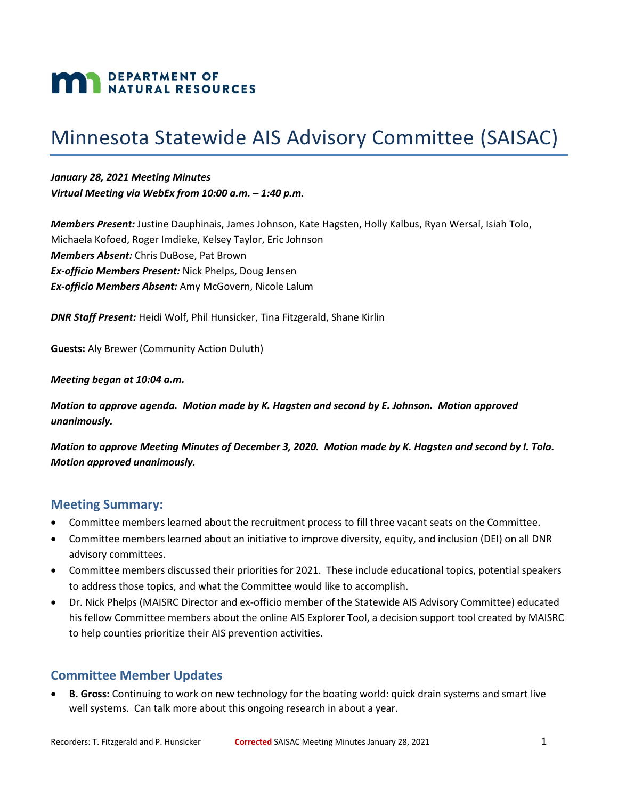# **MAN DEPARTMENT OF NATURAL RESOURCES**

# Minnesota Statewide AIS Advisory Committee (SAISAC)

*January 28, 2021 Meeting Minutes Virtual Meeting via WebEx from 10:00 a.m. – 1:40 p.m.*

*Members Present:* Justine Dauphinais, James Johnson, Kate Hagsten, Holly Kalbus, Ryan Wersal, Isiah Tolo, Michaela Kofoed, Roger Imdieke, Kelsey Taylor, Eric Johnson *Members Absent:* Chris DuBose, Pat Brown *Ex-officio Members Present:* Nick Phelps, Doug Jensen *Ex-officio Members Absent:* Amy McGovern, Nicole Lalum

*DNR Staff Present:* Heidi Wolf, Phil Hunsicker, Tina Fitzgerald, Shane Kirlin

**Guests:** Aly Brewer (Community Action Duluth)

#### *Meeting began at 10:04 a.m.*

*Motion to approve agenda. Motion made by K. Hagsten and second by E. Johnson. Motion approved unanimously.*

*Motion to approve Meeting Minutes of December 3, 2020. Motion made by K. Hagsten and second by I. Tolo. Motion approved unanimously.*

#### **Meeting Summary:**

- Committee members learned about the recruitment process to fill three vacant seats on the Committee.
- Committee members learned about an initiative to improve diversity, equity, and inclusion (DEI) on all DNR advisory committees.
- Committee members discussed their priorities for 2021. These include educational topics, potential speakers to address those topics, and what the Committee would like to accomplish.
- Dr. Nick Phelps (MAISRC Director and ex-officio member of the Statewide AIS Advisory Committee) educated his fellow Committee members about the online AIS Explorer Tool, a decision support tool created by MAISRC to help counties prioritize their AIS prevention activities.

### **Committee Member Updates**

• **B. Gross:** Continuing to work on new technology for the boating world: quick drain systems and smart live well systems. Can talk more about this ongoing research in about a year.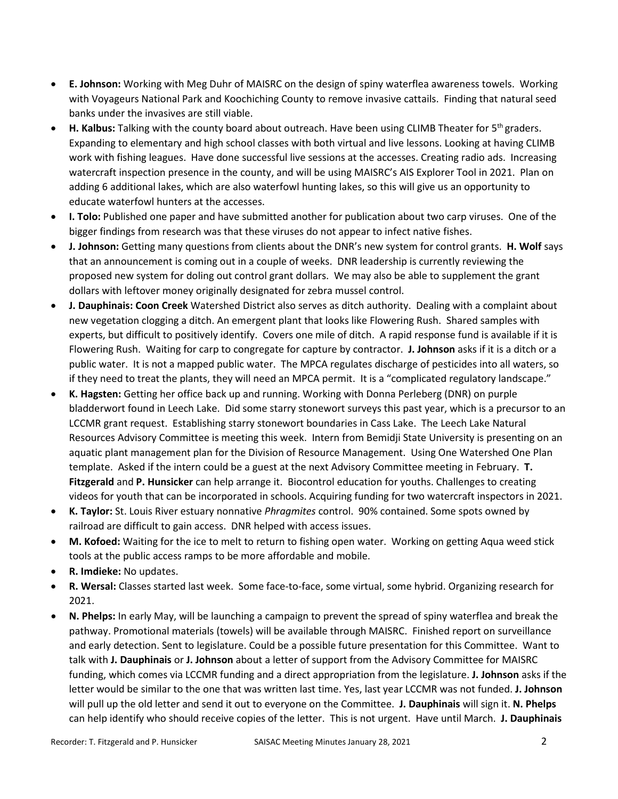- **E. Johnson:** Working with Meg Duhr of MAISRC on the design of spiny waterflea awareness towels. Working with Voyageurs National Park and Koochiching County to remove invasive cattails. Finding that natural seed banks under the invasives are still viable.
- **H. Kalbus:** Talking with the county board about outreach. Have been using CLIMB Theater for 5th graders. Expanding to elementary and high school classes with both virtual and live lessons. Looking at having CLIMB work with fishing leagues. Have done successful live sessions at the accesses. Creating radio ads. Increasing watercraft inspection presence in the county, and will be using MAISRC's AIS Explorer Tool in 2021. Plan on adding 6 additional lakes, which are also waterfowl hunting lakes, so this will give us an opportunity to educate waterfowl hunters at the accesses.
- **I. Tolo:** Published one paper and have submitted another for publication about two carp viruses. One of the bigger findings from research was that these viruses do not appear to infect native fishes.
- **J. Johnson:** Getting many questions from clients about the DNR's new system for control grants. **H. Wolf** says that an announcement is coming out in a couple of weeks. DNR leadership is currently reviewing the proposed new system for doling out control grant dollars. We may also be able to supplement the grant dollars with leftover money originally designated for zebra mussel control.
- **J. Dauphinais: Coon Creek** Watershed District also serves as ditch authority. Dealing with a complaint about new vegetation clogging a ditch. An emergent plant that looks like Flowering Rush. Shared samples with experts, but difficult to positively identify. Covers one mile of ditch. A rapid response fund is available if it is Flowering Rush. Waiting for carp to congregate for capture by contractor. **J. Johnson** asks if it is a ditch or a public water. It is not a mapped public water. The MPCA regulates discharge of pesticides into all waters, so if they need to treat the plants, they will need an MPCA permit. It is a "complicated regulatory landscape."
- **K. Hagsten:** Getting her office back up and running. Working with Donna Perleberg (DNR) on purple bladderwort found in Leech Lake. Did some starry stonewort surveys this past year, which is a precursor to an LCCMR grant request. Establishing starry stonewort boundaries in Cass Lake. The Leech Lake Natural Resources Advisory Committee is meeting this week. Intern from Bemidji State University is presenting on an aquatic plant management plan for the Division of Resource Management. Using One Watershed One Plan template. Asked if the intern could be a guest at the next Advisory Committee meeting in February. **T. Fitzgerald** and **P. Hunsicker** can help arrange it. Biocontrol education for youths. Challenges to creating videos for youth that can be incorporated in schools. Acquiring funding for two watercraft inspectors in 2021.
- **K. Taylor:** St. Louis River estuary nonnative *Phragmites* control. 90% contained. Some spots owned by railroad are difficult to gain access. DNR helped with access issues.
- **M. Kofoed:** Waiting for the ice to melt to return to fishing open water. Working on getting Aqua weed stick tools at the public access ramps to be more affordable and mobile.
- **R. Imdieke:** No updates.
- **R. Wersal:** Classes started last week. Some face-to-face, some virtual, some hybrid. Organizing research for 2021.
- **N. Phelps:** In early May, will be launching a campaign to prevent the spread of spiny waterflea and break the pathway. Promotional materials (towels) will be available through MAISRC. Finished report on surveillance and early detection. Sent to legislature. Could be a possible future presentation for this Committee. Want to talk with **J. Dauphinais** or **J. Johnson** about a letter of support from the Advisory Committee for MAISRC funding, which comes via LCCMR funding and a direct appropriation from the legislature. **J. Johnson** asks if the letter would be similar to the one that was written last time. Yes, last year LCCMR was not funded. **J. Johnson** will pull up the old letter and send it out to everyone on the Committee. **J. Dauphinais** will sign it. **N. Phelps** can help identify who should receive copies of the letter. This is not urgent. Have until March. **J. Dauphinais**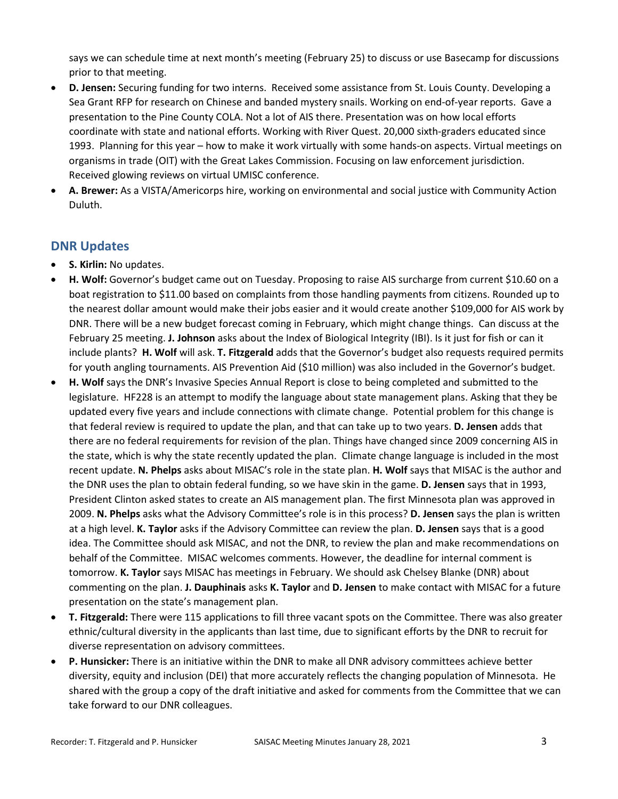says we can schedule time at next month's meeting (February 25) to discuss or use Basecamp for discussions prior to that meeting.

- **D. Jensen:** Securing funding for two interns. Received some assistance from St. Louis County. Developing a Sea Grant RFP for research on Chinese and banded mystery snails. Working on end-of-year reports. Gave a presentation to the Pine County COLA. Not a lot of AIS there. Presentation was on how local efforts coordinate with state and national efforts. Working with River Quest. 20,000 sixth-graders educated since 1993. Planning for this year – how to make it work virtually with some hands-on aspects. Virtual meetings on organisms in trade (OIT) with the Great Lakes Commission. Focusing on law enforcement jurisdiction. Received glowing reviews on virtual UMISC conference.
- **A. Brewer:** As a VISTA/Americorps hire, working on environmental and social justice with Community Action Duluth.

## **DNR Updates**

- **S. Kirlin:** No updates.
- **H. Wolf:** Governor's budget came out on Tuesday. Proposing to raise AIS surcharge from current \$10.60 on a boat registration to \$11.00 based on complaints from those handling payments from citizens. Rounded up to the nearest dollar amount would make their jobs easier and it would create another \$109,000 for AIS work by DNR. There will be a new budget forecast coming in February, which might change things. Can discuss at the February 25 meeting. **J. Johnson** asks about the Index of Biological Integrity (IBI). Is it just for fish or can it include plants? **H. Wolf** will ask. **T. Fitzgerald** adds that the Governor's budget also requests required permits for youth angling tournaments. AIS Prevention Aid (\$10 million) was also included in the Governor's budget.
- **H. Wolf** says the DNR's Invasive Species Annual Report is close to being completed and submitted to the legislature. HF228 is an attempt to modify the language about state management plans. Asking that they be updated every five years and include connections with climate change. Potential problem for this change is that federal review is required to update the plan, and that can take up to two years. **D. Jensen** adds that there are no federal requirements for revision of the plan. Things have changed since 2009 concerning AIS in the state, which is why the state recently updated the plan. Climate change language is included in the most recent update. **N. Phelps** asks about MISAC's role in the state plan. **H. Wolf** says that MISAC is the author and the DNR uses the plan to obtain federal funding, so we have skin in the game. **D. Jensen** says that in 1993, President Clinton asked states to create an AIS management plan. The first Minnesota plan was approved in 2009. **N. Phelps** asks what the Advisory Committee's role is in this process? **D. Jensen** says the plan is written at a high level. **K. Taylor** asks if the Advisory Committee can review the plan. **D. Jensen** says that is a good idea. The Committee should ask MISAC, and not the DNR, to review the plan and make recommendations on behalf of the Committee. MISAC welcomes comments. However, the deadline for internal comment is tomorrow. **K. Taylor** says MISAC has meetings in February. We should ask Chelsey Blanke (DNR) about commenting on the plan. **J. Dauphinais** asks **K. Taylor** and **D. Jensen** to make contact with MISAC for a future presentation on the state's management plan.
- **T. Fitzgerald:** There were 115 applications to fill three vacant spots on the Committee. There was also greater ethnic/cultural diversity in the applicants than last time, due to significant efforts by the DNR to recruit for diverse representation on advisory committees.
- **P. Hunsicker:** There is an initiative within the DNR to make all DNR advisory committees achieve better diversity, equity and inclusion (DEI) that more accurately reflects the changing population of Minnesota. He shared with the group a copy of the draft initiative and asked for comments from the Committee that we can take forward to our DNR colleagues.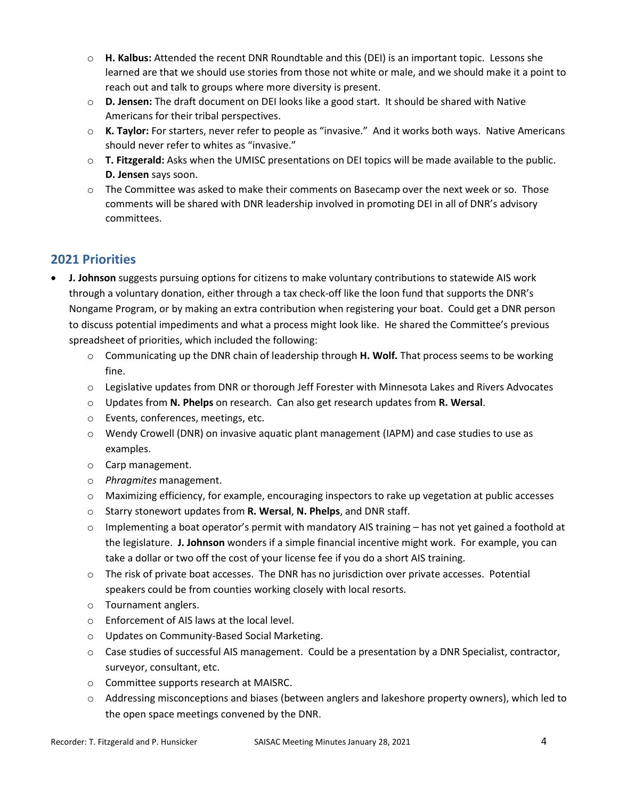- o **H. Kalbus:** Attended the recent DNR Roundtable and this (DEI) is an important topic. Lessons she learned are that we should use stories from those not white or male, and we should make it a point to reach out and talk to groups where more diversity is present.
- o **D. Jensen:** The draft document on DEI looks like a good start. It should be shared with Native Americans for their tribal perspectives.
- o **K. Taylor:** For starters, never refer to people as "invasive." And it works both ways. Native Americans should never refer to whites as "invasive."
- o **T. Fitzgerald:** Asks when the UMISC presentations on DEI topics will be made available to the public. **D. Jensen** says soon.
- $\circ$  The Committee was asked to make their comments on Basecamp over the next week or so. Those comments will be shared with DNR leadership involved in promoting DEI in all of DNR's advisory committees.

# **2021 Priorities**

- **J. Johnson** suggests pursuing options for citizens to make voluntary contributions to statewide AIS work through a voluntary donation, either through a tax check-off like the loon fund that supports the DNR's Nongame Program, or by making an extra contribution when registering your boat. Could get a DNR person to discuss potential impediments and what a process might look like. He shared the Committee's previous spreadsheet of priorities, which included the following:
	- o Communicating up the DNR chain of leadership through **H. Wolf.** That process seems to be working fine.
	- o Legislative updates from DNR or thorough Jeff Forester with Minnesota Lakes and Rivers Advocates
	- o Updates from **N. Phelps** on research. Can also get research updates from **R. Wersal**.
	- o Events, conferences, meetings, etc.
	- o Wendy Crowell (DNR) on invasive aquatic plant management (IAPM) and case studies to use as examples.
	- o Carp management.
	- o *Phragmites* management.
	- o Maximizing efficiency, for example, encouraging inspectors to rake up vegetation at public accesses
	- o Starry stonewort updates from **R. Wersal**, **N. Phelps**, and DNR staff.
	- $\circ$  Implementing a boat operator's permit with mandatory AIS training has not yet gained a foothold at the legislature. **J. Johnson** wonders if a simple financial incentive might work. For example, you can take a dollar or two off the cost of your license fee if you do a short AIS training.
	- o The risk of private boat accesses. The DNR has no jurisdiction over private accesses. Potential speakers could be from counties working closely with local resorts.
	- o Tournament anglers.
	- o Enforcement of AIS laws at the local level.
	- o Updates on Community-Based Social Marketing.
	- $\circ$  Case studies of successful AIS management. Could be a presentation by a DNR Specialist, contractor, surveyor, consultant, etc.
	- o Committee supports research at MAISRC.
	- o Addressing misconceptions and biases (between anglers and lakeshore property owners), which led to the open space meetings convened by the DNR.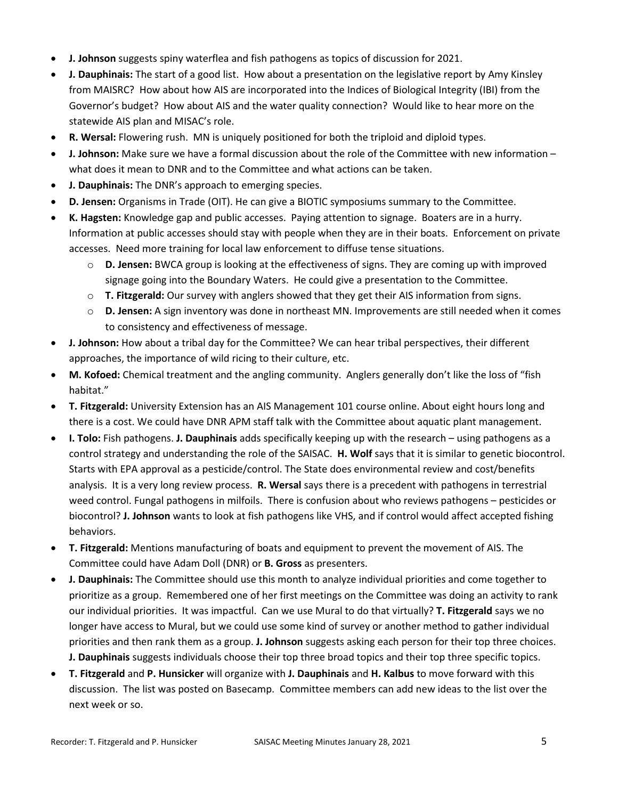- **J. Johnson** suggests spiny waterflea and fish pathogens as topics of discussion for 2021.
- **J. Dauphinais:** The start of a good list. How about a presentation on the legislative report by Amy Kinsley from MAISRC? How about how AIS are incorporated into the Indices of Biological Integrity (IBI) from the Governor's budget? How about AIS and the water quality connection? Would like to hear more on the statewide AIS plan and MISAC's role.
- **R. Wersal:** Flowering rush. MN is uniquely positioned for both the triploid and diploid types.
- **J. Johnson:** Make sure we have a formal discussion about the role of the Committee with new information what does it mean to DNR and to the Committee and what actions can be taken.
- **J. Dauphinais:** The DNR's approach to emerging species.
- **D. Jensen:** Organisms in Trade (OIT). He can give a BIOTIC symposiums summary to the Committee.
- **K. Hagsten:** Knowledge gap and public accesses. Paying attention to signage. Boaters are in a hurry. Information at public accesses should stay with people when they are in their boats. Enforcement on private accesses. Need more training for local law enforcement to diffuse tense situations.
	- o **D. Jensen:** BWCA group is looking at the effectiveness of signs. They are coming up with improved signage going into the Boundary Waters. He could give a presentation to the Committee.
	- o **T. Fitzgerald:** Our survey with anglers showed that they get their AIS information from signs.
	- o **D. Jensen:** A sign inventory was done in northeast MN. Improvements are still needed when it comes to consistency and effectiveness of message.
- **J. Johnson:** How about a tribal day for the Committee? We can hear tribal perspectives, their different approaches, the importance of wild ricing to their culture, etc.
- **M. Kofoed:** Chemical treatment and the angling community. Anglers generally don't like the loss of "fish habitat."
- **T. Fitzgerald:** University Extension has an AIS Management 101 course online. About eight hours long and there is a cost. We could have DNR APM staff talk with the Committee about aquatic plant management.
- **I. Tolo:** Fish pathogens. **J. Dauphinais** adds specifically keeping up with the research using pathogens as a control strategy and understanding the role of the SAISAC. **H. Wolf** says that it is similar to genetic biocontrol. Starts with EPA approval as a pesticide/control. The State does environmental review and cost/benefits analysis. It is a very long review process. **R. Wersal** says there is a precedent with pathogens in terrestrial weed control. Fungal pathogens in milfoils. There is confusion about who reviews pathogens – pesticides or biocontrol? **J. Johnson** wants to look at fish pathogens like VHS, and if control would affect accepted fishing behaviors.
- **T. Fitzgerald:** Mentions manufacturing of boats and equipment to prevent the movement of AIS. The Committee could have Adam Doll (DNR) or **B. Gross** as presenters.
- **J. Dauphinais:** The Committee should use this month to analyze individual priorities and come together to prioritize as a group. Remembered one of her first meetings on the Committee was doing an activity to rank our individual priorities. It was impactful. Can we use Mural to do that virtually? **T. Fitzgerald** says we no longer have access to Mural, but we could use some kind of survey or another method to gather individual priorities and then rank them as a group. **J. Johnson** suggests asking each person for their top three choices. **J. Dauphinais** suggests individuals choose their top three broad topics and their top three specific topics.
- **T. Fitzgerald** and **P. Hunsicker** will organize with **J. Dauphinais** and **H. Kalbus** to move forward with this discussion. The list was posted on Basecamp. Committee members can add new ideas to the list over the next week or so.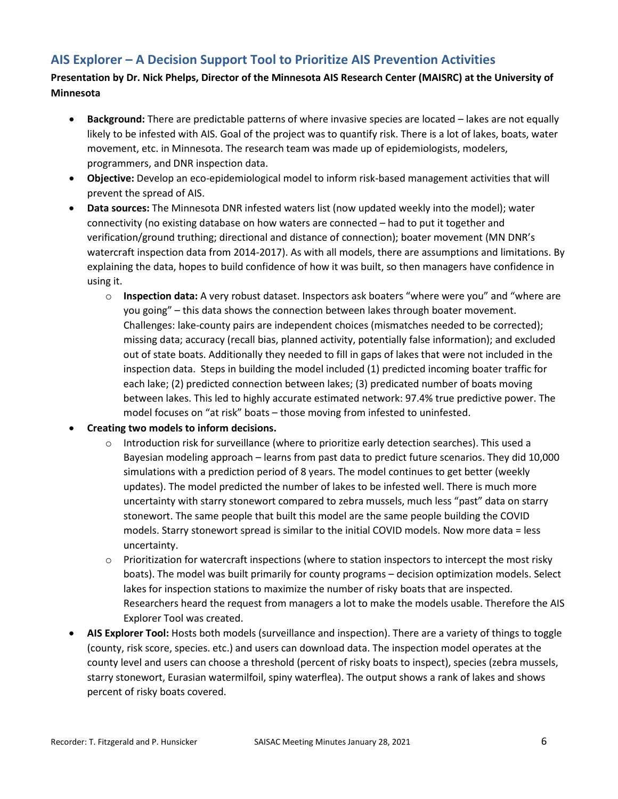# **AIS Explorer – A Decision Support Tool to Prioritize AIS Prevention Activities**

**Presentation by Dr. Nick Phelps, Director of the Minnesota AIS Research Center (MAISRC) at the University of Minnesota**

- **Background:** There are predictable patterns of where invasive species are located lakes are not equally likely to be infested with AIS. Goal of the project was to quantify risk. There is a lot of lakes, boats, water movement, etc. in Minnesota. The research team was made up of epidemiologists, modelers, programmers, and DNR inspection data.
- **Objective:** Develop an eco-epidemiological model to inform risk-based management activities that will prevent the spread of AIS.
- **Data sources:** The Minnesota DNR infested waters list (now updated weekly into the model); water connectivity (no existing database on how waters are connected – had to put it together and verification/ground truthing; directional and distance of connection); boater movement (MN DNR's watercraft inspection data from 2014-2017). As with all models, there are assumptions and limitations. By explaining the data, hopes to build confidence of how it was built, so then managers have confidence in using it.
	- o **Inspection data:** A very robust dataset. Inspectors ask boaters "where were you" and "where are you going" – this data shows the connection between lakes through boater movement. Challenges: lake-county pairs are independent choices (mismatches needed to be corrected); missing data; accuracy (recall bias, planned activity, potentially false information); and excluded out of state boats. Additionally they needed to fill in gaps of lakes that were not included in the inspection data. Steps in building the model included (1) predicted incoming boater traffic for each lake; (2) predicted connection between lakes; (3) predicated number of boats moving between lakes. This led to highly accurate estimated network: 97.4% true predictive power. The model focuses on "at risk" boats – those moving from infested to uninfested.
- **Creating two models to inform decisions.**
	- o Introduction risk for surveillance (where to prioritize early detection searches). This used a Bayesian modeling approach – learns from past data to predict future scenarios. They did 10,000 simulations with a prediction period of 8 years. The model continues to get better (weekly updates). The model predicted the number of lakes to be infested well. There is much more uncertainty with starry stonewort compared to zebra mussels, much less "past" data on starry stonewort. The same people that built this model are the same people building the COVID models. Starry stonewort spread is similar to the initial COVID models. Now more data = less uncertainty.
	- $\circ$  Prioritization for watercraft inspections (where to station inspectors to intercept the most risky boats). The model was built primarily for county programs – decision optimization models. Select lakes for inspection stations to maximize the number of risky boats that are inspected. Researchers heard the request from managers a lot to make the models usable. Therefore the AIS Explorer Tool was created.
- **AIS Explorer Tool:** Hosts both models (surveillance and inspection). There are a variety of things to toggle (county, risk score, species. etc.) and users can download data. The inspection model operates at the county level and users can choose a threshold (percent of risky boats to inspect), species (zebra mussels, starry stonewort, Eurasian watermilfoil, spiny waterflea). The output shows a rank of lakes and shows percent of risky boats covered.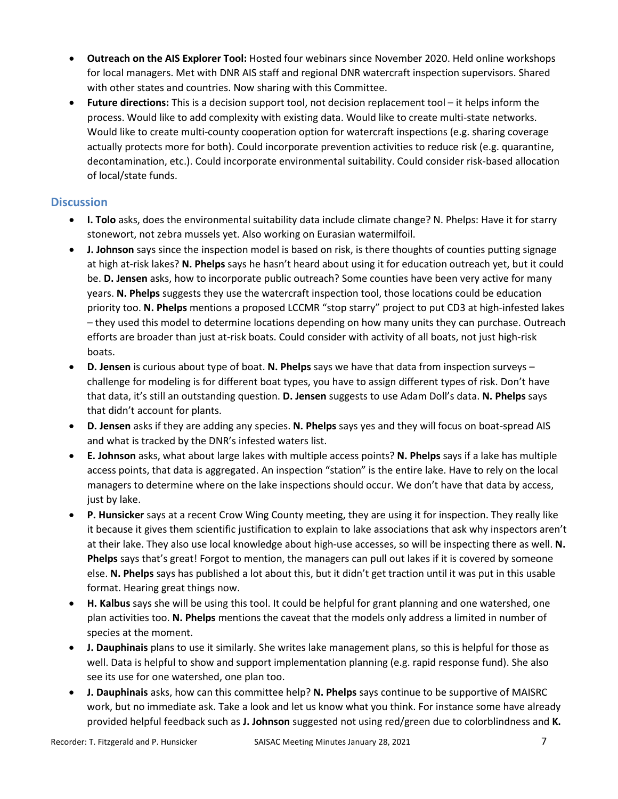- **Outreach on the AIS Explorer Tool:** Hosted four webinars since November 2020. Held online workshops for local managers. Met with DNR AIS staff and regional DNR watercraft inspection supervisors. Shared with other states and countries. Now sharing with this Committee.
- **Future directions:** This is a decision support tool, not decision replacement tool it helps inform the process. Would like to add complexity with existing data. Would like to create multi-state networks. Would like to create multi-county cooperation option for watercraft inspections (e.g. sharing coverage actually protects more for both). Could incorporate prevention activities to reduce risk (e.g. quarantine, decontamination, etc.). Could incorporate environmental suitability. Could consider risk-based allocation of local/state funds.

### **Discussion**

- **I. Tolo** asks, does the environmental suitability data include climate change? N. Phelps: Have it for starry stonewort, not zebra mussels yet. Also working on Eurasian watermilfoil.
- **J. Johnson** says since the inspection model is based on risk, is there thoughts of counties putting signage at high at-risk lakes? **N. Phelps** says he hasn't heard about using it for education outreach yet, but it could be. **D. Jensen** asks, how to incorporate public outreach? Some counties have been very active for many years. **N. Phelps** suggests they use the watercraft inspection tool, those locations could be education priority too. **N. Phelps** mentions a proposed LCCMR "stop starry" project to put CD3 at high-infested lakes – they used this model to determine locations depending on how many units they can purchase. Outreach efforts are broader than just at-risk boats. Could consider with activity of all boats, not just high-risk boats.
- **D. Jensen** is curious about type of boat. **N. Phelps** says we have that data from inspection surveys challenge for modeling is for different boat types, you have to assign different types of risk. Don't have that data, it's still an outstanding question. **D. Jensen** suggests to use Adam Doll's data. **N. Phelps** says that didn't account for plants.
- **D. Jensen** asks if they are adding any species. **N. Phelps** says yes and they will focus on boat-spread AIS and what is tracked by the DNR's infested waters list.
- **E. Johnson** asks, what about large lakes with multiple access points? **N. Phelps** says if a lake has multiple access points, that data is aggregated. An inspection "station" is the entire lake. Have to rely on the local managers to determine where on the lake inspections should occur. We don't have that data by access, just by lake.
- **P. Hunsicker** says at a recent Crow Wing County meeting, they are using it for inspection. They really like it because it gives them scientific justification to explain to lake associations that ask why inspectors aren't at their lake. They also use local knowledge about high-use accesses, so will be inspecting there as well. **N. Phelps** says that's great! Forgot to mention, the managers can pull out lakes if it is covered by someone else. **N. Phelps** says has published a lot about this, but it didn't get traction until it was put in this usable format. Hearing great things now.
- **H. Kalbus** says she will be using this tool. It could be helpful for grant planning and one watershed, one plan activities too. **N. Phelps** mentions the caveat that the models only address a limited in number of species at the moment.
- **J. Dauphinais** plans to use it similarly. She writes lake management plans, so this is helpful for those as well. Data is helpful to show and support implementation planning (e.g. rapid response fund). She also see its use for one watershed, one plan too.
- **J. Dauphinais** asks, how can this committee help? **N. Phelps** says continue to be supportive of MAISRC work, but no immediate ask. Take a look and let us know what you think. For instance some have already provided helpful feedback such as **J. Johnson** suggested not using red/green due to colorblindness and **K.**